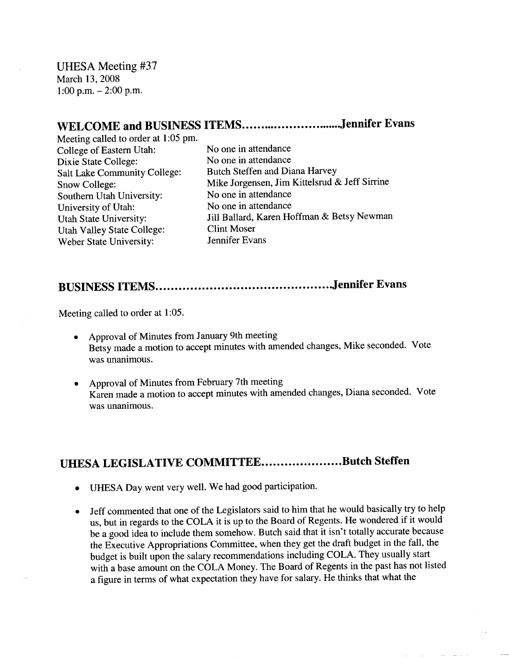UHESA Meeting #37 March 13, 2008 1:00 p.m.  $-2:00$  p.m.

## WELCOME and BUSINESS ITEMS...............................Jennifer Evans

Meeting called to order at 1:05 pm. College of Eastern Utah: No one in attendance Dixie State College: No one in attendance Salt Lake Community College: Butch Steffen and Diana Harvey Southern Utah University: No one in attendance University of Utah: No one in attendance Utah Valley State College: Clint Moser Weber State University: Jennifer Evans

Snow College: Mike Jorgensen, Jim Kittelsrud & Jeff Sirrine Utah State University: Jill Ballard, Karen Hoffman & Betsy Newman

## **BUSINESS ITEMS Jennifer Evans**

Meeting called to order at 1:05.

- Approval of Minutes from January 9th meeting Betsy made a motion to accept minutes with amended changes, Mike seconded. Vote was unanimous.
- Approval of Minutes from February 7th meeting Karen made a motion to accept minutes with amended changes, Diana seconded. Vote was unanimous.

## **UHESA LEGISLATIVE COMMITTEE....................Butch Steffen**

- UHESA Day went very well. We had good participation.
- Jeff commented that one of the Legislators said to him that he would basically try to help us, but in regards to the COLA it is up to the Board of Regents. He wondered if it would be a good idea to include them somehow. Butch said that it isn't totally accurate because the Executive Appropriations Committee, when they get the draft budget in the fall, the budget is built upon the salary recommendations including COLA. They usually start with a base amount on the COLA Money. The Board of Regents in the past has not listed a figure in terms of what expectation they have for salary. He thinks that what the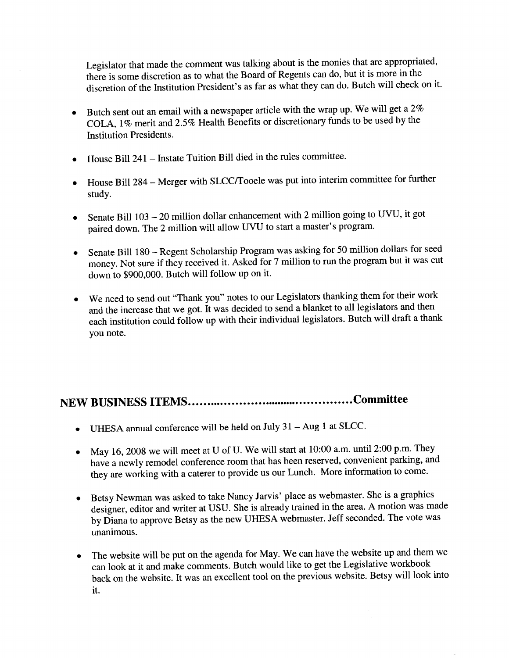Legislator that made the comment was talking about is the monies that are appropriated, there is some discretion as to what the Board of Regents can do, but it is more in the discretion of the Institution President's as far as what they can do. Butch will check on it.

- Butch sent out an email with a newspaper article with the wrap up. We will get a 2%  $\bullet$ COLA, 1% merit and 2.5% Health Benefits or discretionary funds to be used by the Institution Presidents.
- House Bill 241 Instate Tuition Bill died in the rules committee.
- House Bill 284 Merger with SLCC/Tooele was put into interim committee for further study.
- Senate Bill 103 20 million dollar enhancement with 2 million going to UVU, it got paired down. The 2 million will allow UVU to start a master's program.
- Senate Bill 180 Regent Scholarship Program was asking for 50 million dollars for seed money. Not sure if they received it. Asked for 7 million to run the program but it was cut down to \$900,000. Butch will follow up on it.
- We need to send out "Thank you" notes to our Legislators thanking them for their work and the increase that we got. It was decided to send a blanket to all legislators and then each institution could follow up with their individual legislators. Butch will draft a thank you note.

## **NEW BUSINESS ITEMS Committee**

- UHESA annual conference will be held on July 31 Aug 1 at SLCC.
- May 16, 2008 we will meet at U of U. We will start at 10:00 a.m. until 2:00 p.m. They have a newly remodel conference room that has been reserved, convenient parking, and they are working with a caterer to provide us our Lunch. More information to come.
- Betsy Newman was asked to take Nancy Jarvis' place as webmaster. She is a graphics designer, editor and writer at USU. She is already trained in the area. A motion was made by Diana to approve Betsy as the new UHESA webmaster. Jeff seconded. The vote was unanimous.
- The website will be put on the agenda for May. We can have the website up and them we can look at it and make comments. Butch would like to get the Legislative workbook back on the website. It was an excellent tool on the previous website. Betsy will look into it.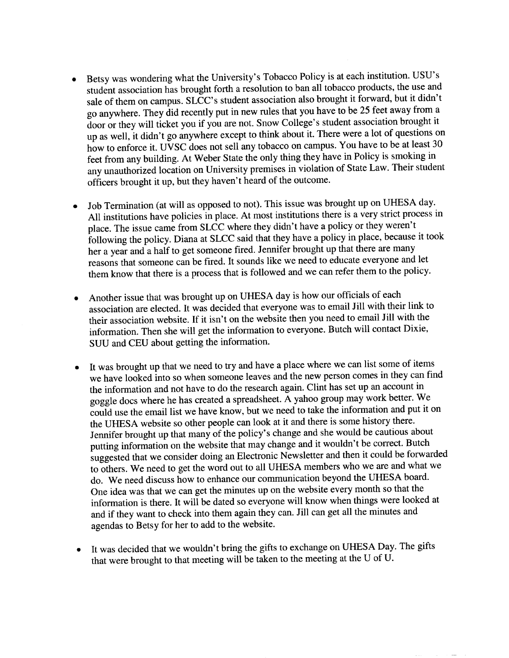- Betsy was wondering what the University's Tobacco Policy is at each institution. USU's student association has brought forth a resolution to ban all tobacco products, the use and sale of them on campus. SLCC's student association also brought it forward, but it didn't go anywhere. They did recently put in new rules that you have to be 25 feet away from a door or they will ticket you if you are not. Snow College's student association brought it up as well, it didn't go anywhere except to think about it. There were a lot of questions on how to enforce it. UVSC does not sell any tobacco on campus. You have to be at least 30 feet from any building. At Weber State the only thing they have in Policy is smoking in any unauthorized location on University premises in violation of State Law. Their student officers brought it up, but they haven't heard of the outcome.
- Job Termination (at will as opposed to not). This issue was brought up on UHESA day. All institutions have policies in place. At most institutions there is a very strict process in place. The issue came from SLCC where they didn't have a policy or they weren't following the policy. Diana at SLCC said that they have a policy in place, because it took her a year and a half to get someone fired. Jennifer brought up that there are many reasons that someone can be fired. It sounds like we need to educate everyone and let them know that there is a process that is followed and we can refer them to the policy.
- Another issue that was brought up on UHESA day is how our officials of each association are elected. It was decided that everyone was to email Jill with their link to their association website. If it isn't on the website then you need to email Jill with the information. Then she will get the information to everyone. Butch will contact Dixie, SUU and CEU about getting the information.
- It was brought up that we need to try and have a place where we can list some of items we have looked into so when someone leaves and the new person comes in they can find the information and not have to do the research again. Clint has set up an account in goggle docs where he has created a spreadsheet. A yahoo group may work better. We could use the email list we have know, but we need to take the information and put it on the UHESA website so other people can look at it and there is some history there. Jennifer brought up that many of the policy's change and she would be cautious about putting information on the website that may change and it wouldn't be correct. Butch suggested that we consider doing an Electronic Newsletter and then it could be forwarded to others. We need to get the word out to all UHESA members who we are and what we do. We need discuss how to enhance our communication beyond the UHESA board. One idea was that we can get the minutes up on the website every month so that the information is there. It will be dated so everyone will know when things were looked at and if they want to check into them again they can. Jill can get all the minutes and agendas to Betsy for her to add to the website.
- It was decided that we wouldn't bring the gifts to exchange on UHESA Day. The gifts that were brought to that meeting will be taken to the meeting at the U of U.